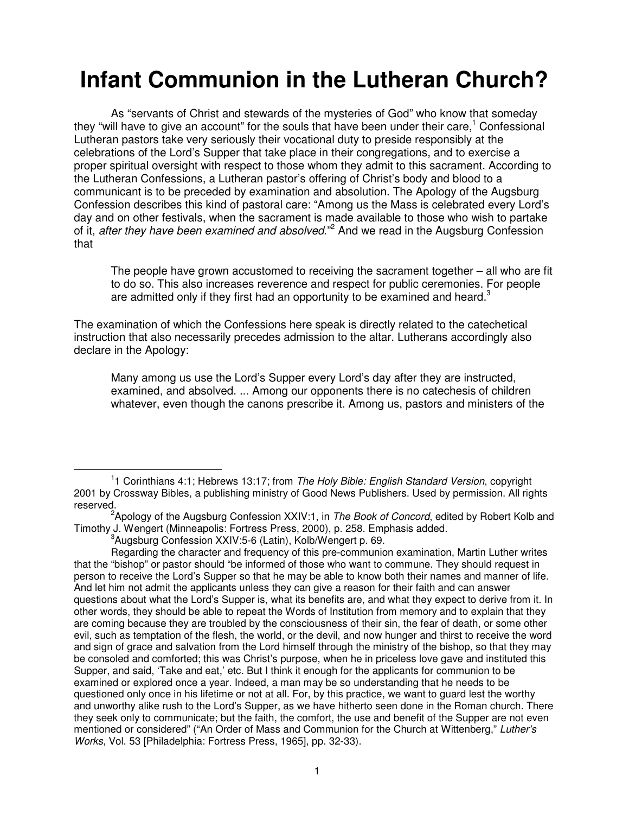## **Infant Communion in the Lutheran Church?**

As "servants of Christ and stewards of the mysteries of God" who know that someday they "will have to give an account" for the souls that have been under their care,<sup>1</sup> Confessional Lutheran pastors take very seriously their vocational duty to preside responsibly at the celebrations of the Lord's Supper that take place in their congregations, and to exercise a proper spiritual oversight with respect to those whom they admit to this sacrament. According to the Lutheran Confessions, a Lutheran pastor's offering of Christ's body and blood to a communicant is to be preceded by examination and absolution. The Apology of the Augsburg Confession describes this kind of pastoral care: "Among us the Mass is celebrated every Lord's day and on other festivals, when the sacrament is made available to those who wish to partake of it, after they have been examined and absolved."<sup>2</sup> And we read in the Augsburg Confession that

The people have grown accustomed to receiving the sacrament together – all who are fit to do so. This also increases reverence and respect for public ceremonies. For people are admitted only if they first had an opportunity to be examined and heard.<sup>3</sup>

The examination of which the Confessions here speak is directly related to the catechetical instruction that also necessarily precedes admission to the altar. Lutherans accordingly also declare in the Apology:

Many among us use the Lord's Supper every Lord's day after they are instructed, examined, and absolved. ... Among our opponents there is no catechesis of children whatever, even though the canons prescribe it. Among us, pastors and ministers of the

<sup>&</sup>lt;sup>1</sup>1 Corinthians 4:1; Hebrews 13:17; from The Holy Bible: English Standard Version, copyright 2001 by Crossway Bibles, a publishing ministry of Good News Publishers. Used by permission. All rights reserved.

<sup>&</sup>lt;sup>2</sup>Apology of the Augsburg Confession XXIV:1, in The Book of Concord, edited by Robert Kolb and Timothy J. Wengert (Minneapolis: Fortress Press, 2000), p. 258. Emphasis added.

<sup>3</sup> Augsburg Confession XXIV:5-6 (Latin), Kolb/Wengert p. 69.

Regarding the character and frequency of this pre-communion examination, Martin Luther writes that the "bishop" or pastor should "be informed of those who want to commune. They should request in person to receive the Lord's Supper so that he may be able to know both their names and manner of life. And let him not admit the applicants unless they can give a reason for their faith and can answer questions about what the Lord's Supper is, what its benefits are, and what they expect to derive from it. In other words, they should be able to repeat the Words of Institution from memory and to explain that they are coming because they are troubled by the consciousness of their sin, the fear of death, or some other evil, such as temptation of the flesh, the world, or the devil, and now hunger and thirst to receive the word and sign of grace and salvation from the Lord himself through the ministry of the bishop, so that they may be consoled and comforted; this was Christ's purpose, when he in priceless love gave and instituted this Supper, and said, 'Take and eat,' etc. But I think it enough for the applicants for communion to be examined or explored once a year. Indeed, a man may be so understanding that he needs to be questioned only once in his lifetime or not at all. For, by this practice, we want to guard lest the worthy and unworthy alike rush to the Lord's Supper, as we have hitherto seen done in the Roman church. There they seek only to communicate; but the faith, the comfort, the use and benefit of the Supper are not even mentioned or considered" ("An Order of Mass and Communion for the Church at Wittenberg," Luther's Works, Vol. 53 [Philadelphia: Fortress Press, 1965], pp. 32-33).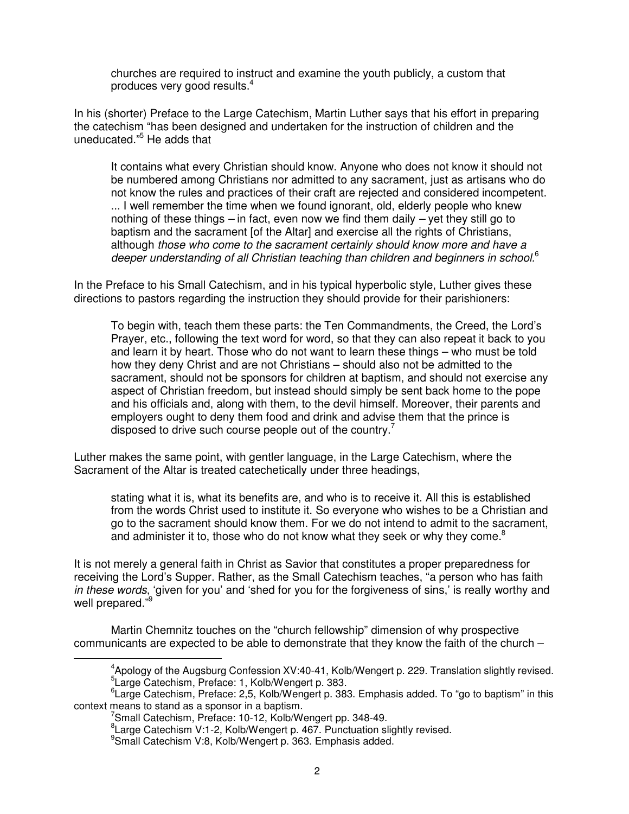churches are required to instruct and examine the youth publicly, a custom that produces very good results.<sup>4</sup>

In his (shorter) Preface to the Large Catechism, Martin Luther says that his effort in preparing the catechism "has been designed and undertaken for the instruction of children and the uneducated."<sup>5</sup> He adds that

It contains what every Christian should know. Anyone who does not know it should not be numbered among Christians nor admitted to any sacrament, just as artisans who do not know the rules and practices of their craft are rejected and considered incompetent. ... I well remember the time when we found ignorant, old, elderly people who knew nothing of these things  $-$  in fact, even now we find them daily  $-$  yet they still go to baptism and the sacrament [of the Altar] and exercise all the rights of Christians, although those who come to the sacrament certainly should know more and have a deeper understanding of all Christian teaching than children and beginners in school.<sup>6</sup>

In the Preface to his Small Catechism, and in his typical hyperbolic style, Luther gives these directions to pastors regarding the instruction they should provide for their parishioners:

To begin with, teach them these parts: the Ten Commandments, the Creed, the Lord's Prayer, etc., following the text word for word, so that they can also repeat it back to you and learn it by heart. Those who do not want to learn these things – who must be told how they deny Christ and are not Christians – should also not be admitted to the sacrament, should not be sponsors for children at baptism, and should not exercise any aspect of Christian freedom, but instead should simply be sent back home to the pope and his officials and, along with them, to the devil himself. Moreover, their parents and employers ought to deny them food and drink and advise them that the prince is disposed to drive such course people out of the country.<sup>7</sup>

Luther makes the same point, with gentler language, in the Large Catechism, where the Sacrament of the Altar is treated catechetically under three headings,

stating what it is, what its benefits are, and who is to receive it. All this is established from the words Christ used to institute it. So everyone who wishes to be a Christian and go to the sacrament should know them. For we do not intend to admit to the sacrament, and administer it to, those who do not know what they seek or why they come.<sup>8</sup>

It is not merely a general faith in Christ as Savior that constitutes a proper preparedness for receiving the Lord's Supper. Rather, as the Small Catechism teaches, "a person who has faith in these words, 'given for you' and 'shed for you for the forgiveness of sins,' is really worthy and well prepared."<sup>9</sup>

Martin Chemnitz touches on the "church fellowship" dimension of why prospective communicants are expected to be able to demonstrate that they know the faith of the church –  $\overline{a}$ 

<sup>&</sup>lt;sup>4</sup>Apology of the Augsburg Confession XV:40-41, Kolb/Wengert p. 229. Translation slightly revised.

<sup>5</sup> Large Catechism, Preface: 1, Kolb/Wengert p. 383.

<sup>&</sup>lt;sup>6</sup> Large Catechism, Preface: 2,5, Kolb/Wengert p. 383. Emphasis added. To "go to baptism" in this context means to stand as a sponsor in a baptism.

<sup>7</sup> Small Catechism, Preface: 10-12, Kolb/Wengert pp. 348-49.

<sup>&</sup>lt;sup>8</sup> Large Catechism V:1-2, Kolb/Wengert p. 467. Punctuation slightly revised.

<sup>9</sup> Small Catechism V:8, Kolb/Wengert p. 363. Emphasis added.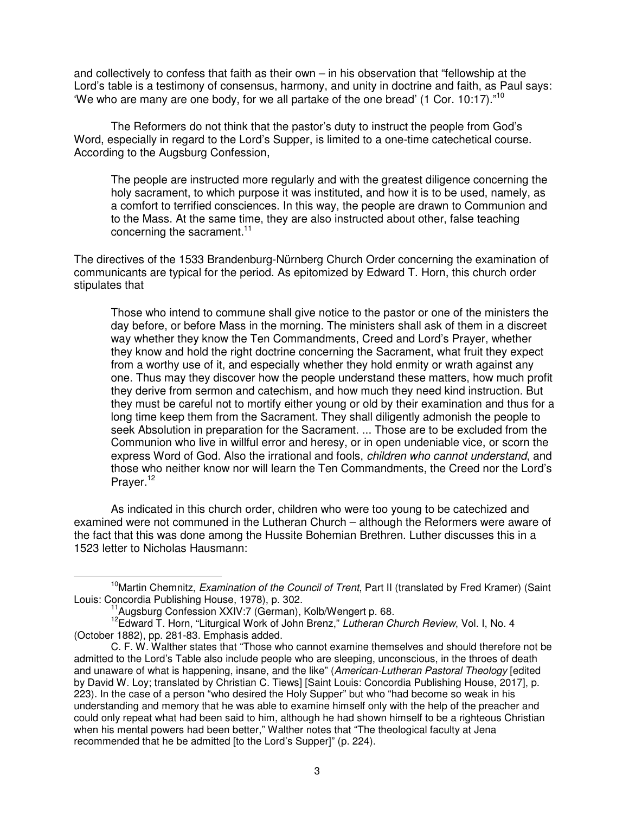and collectively to confess that faith as their own – in his observation that "fellowship at the Lord's table is a testimony of consensus, harmony, and unity in doctrine and faith, as Paul says: 'We who are many are one body, for we all partake of the one bread' (1 Cor. 10:17)."<sup>10</sup>

The Reformers do not think that the pastor's duty to instruct the people from God's Word, especially in regard to the Lord's Supper, is limited to a one-time catechetical course. According to the Augsburg Confession,

The people are instructed more regularly and with the greatest diligence concerning the holy sacrament, to which purpose it was instituted, and how it is to be used, namely, as a comfort to terrified consciences. In this way, the people are drawn to Communion and to the Mass. At the same time, they are also instructed about other, false teaching concerning the sacrament.<sup>11</sup>

The directives of the 1533 Brandenburg-Nürnberg Church Order concerning the examination of communicants are typical for the period. As epitomized by Edward T. Horn, this church order stipulates that

Those who intend to commune shall give notice to the pastor or one of the ministers the day before, or before Mass in the morning. The ministers shall ask of them in a discreet way whether they know the Ten Commandments, Creed and Lord's Prayer, whether they know and hold the right doctrine concerning the Sacrament, what fruit they expect from a worthy use of it, and especially whether they hold enmity or wrath against any one. Thus may they discover how the people understand these matters, how much profit they derive from sermon and catechism, and how much they need kind instruction. But they must be careful not to mortify either young or old by their examination and thus for a long time keep them from the Sacrament. They shall diligently admonish the people to seek Absolution in preparation for the Sacrament. ... Those are to be excluded from the Communion who live in willful error and heresy, or in open undeniable vice, or scorn the express Word of God. Also the irrational and fools, *children who cannot understand*, and those who neither know nor will learn the Ten Commandments, the Creed nor the Lord's Prayer.<sup>12</sup>

As indicated in this church order, children who were too young to be catechized and examined were not communed in the Lutheran Church – although the Reformers were aware of the fact that this was done among the Hussite Bohemian Brethren. Luther discusses this in a 1523 letter to Nicholas Hausmann:

<sup>&</sup>lt;sup>10</sup>Martin Chemnitz, Examination of the Council of Trent, Part II (translated by Fred Kramer) (Saint Louis: Concordia Publishing House, 1978), p. 302.

<sup>&</sup>lt;sup>1</sup>Augsburg Confession XXIV:7 (German), Kolb/Wengert p. 68.

<sup>&</sup>lt;sup>12</sup>Edward T. Horn, "Liturgical Work of John Brenz," Lutheran Church Review, Vol. I, No. 4 (October 1882), pp. 281-83. Emphasis added.

C. F. W. Walther states that "Those who cannot examine themselves and should therefore not be admitted to the Lord's Table also include people who are sleeping, unconscious, in the throes of death and unaware of what is happening, insane, and the like" (American-Lutheran Pastoral Theology [edited by David W. Loy; translated by Christian C. Tiews] [Saint Louis: Concordia Publishing House, 2017], p. 223). In the case of a person "who desired the Holy Supper" but who "had become so weak in his understanding and memory that he was able to examine himself only with the help of the preacher and could only repeat what had been said to him, although he had shown himself to be a righteous Christian when his mental powers had been better," Walther notes that "The theological faculty at Jena recommended that he be admitted [to the Lord's Supper]" (p. 224).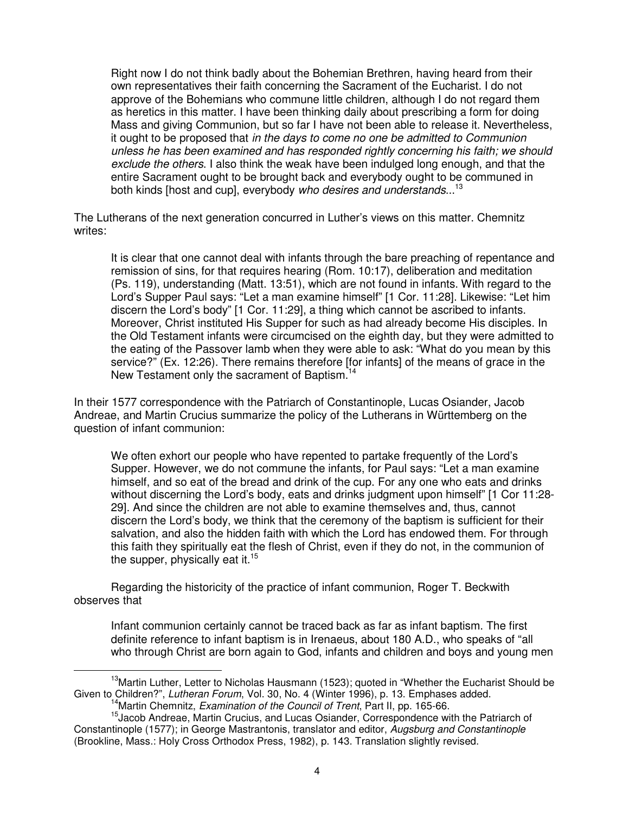Right now I do not think badly about the Bohemian Brethren, having heard from their own representatives their faith concerning the Sacrament of the Eucharist. I do not approve of the Bohemians who commune little children, although I do not regard them as heretics in this matter. I have been thinking daily about prescribing a form for doing Mass and giving Communion, but so far I have not been able to release it. Nevertheless, it ought to be proposed that in the days to come no one be admitted to Communion unless he has been examined and has responded rightly concerning his faith; we should exclude the others. I also think the weak have been indulged long enough, and that the entire Sacrament ought to be brought back and everybody ought to be communed in both kinds [host and cup], everybody who desires and understands...<sup>13</sup>

The Lutherans of the next generation concurred in Luther's views on this matter. Chemnitz writes:

It is clear that one cannot deal with infants through the bare preaching of repentance and remission of sins, for that requires hearing (Rom. 10:17), deliberation and meditation (Ps. 119), understanding (Matt. 13:51), which are not found in infants. With regard to the Lord's Supper Paul says: "Let a man examine himself" [1 Cor. 11:28]. Likewise: "Let him discern the Lord's body" [1 Cor. 11:29], a thing which cannot be ascribed to infants. Moreover, Christ instituted His Supper for such as had already become His disciples. In the Old Testament infants were circumcised on the eighth day, but they were admitted to the eating of the Passover lamb when they were able to ask: "What do you mean by this service?" (Ex. 12:26). There remains therefore [for infants] of the means of grace in the New Testament only the sacrament of Baptism.<sup>14</sup>

In their 1577 correspondence with the Patriarch of Constantinople, Lucas Osiander, Jacob Andreae, and Martin Crucius summarize the policy of the Lutherans in Württemberg on the question of infant communion:

We often exhort our people who have repented to partake frequently of the Lord's Supper. However, we do not commune the infants, for Paul says: "Let a man examine himself, and so eat of the bread and drink of the cup. For any one who eats and drinks without discerning the Lord's body, eats and drinks judgment upon himself" [1 Cor 11:28- 29]. And since the children are not able to examine themselves and, thus, cannot discern the Lord's body, we think that the ceremony of the baptism is sufficient for their salvation, and also the hidden faith with which the Lord has endowed them. For through this faith they spiritually eat the flesh of Christ, even if they do not, in the communion of the supper, physically eat it.<sup>15</sup>

Regarding the historicity of the practice of infant communion, Roger T. Beckwith observes that

Infant communion certainly cannot be traced back as far as infant baptism. The first definite reference to infant baptism is in Irenaeus, about 180 A.D., who speaks of "all who through Christ are born again to God, infants and children and boys and young men

<sup>&</sup>lt;sup>13</sup>Martin Luther, Letter to Nicholas Hausmann (1523); quoted in "Whether the Eucharist Should be Given to Children?", Lutheran Forum, Vol. 30, No. 4 (Winter 1996), p. 13. Emphases added.

<sup>&</sup>lt;sup>14</sup>Martin Chemnitz, Examination of the Council of Trent, Part II, pp. 165-66.

<sup>&</sup>lt;sup>15</sup> Jacob Andreae, Martin Crucius, and Lucas Osiander, Correspondence with the Patriarch of Constantinople (1577); in George Mastrantonis, translator and editor, Augsburg and Constantinople (Brookline, Mass.: Holy Cross Orthodox Press, 1982), p. 143. Translation slightly revised.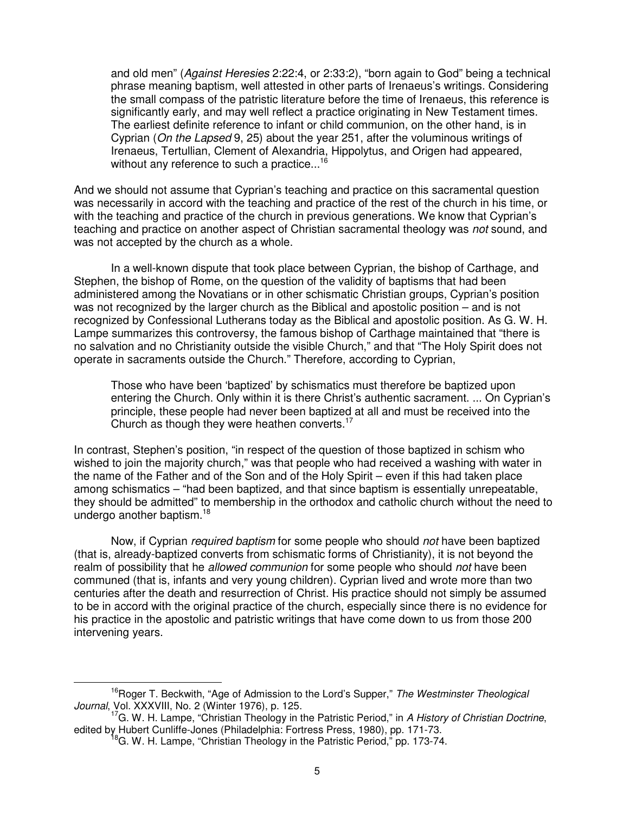and old men" (Against Heresies 2:22:4, or 2:33:2), "born again to God" being a technical phrase meaning baptism, well attested in other parts of Irenaeus's writings. Considering the small compass of the patristic literature before the time of Irenaeus, this reference is significantly early, and may well reflect a practice originating in New Testament times. The earliest definite reference to infant or child communion, on the other hand, is in Cyprian (On the Lapsed 9, 25) about the year 251, after the voluminous writings of Irenaeus, Tertullian, Clement of Alexandria, Hippolytus, and Origen had appeared, without any reference to such a practice...<sup>16</sup>

And we should not assume that Cyprian's teaching and practice on this sacramental question was necessarily in accord with the teaching and practice of the rest of the church in his time, or with the teaching and practice of the church in previous generations. We know that Cyprian's teaching and practice on another aspect of Christian sacramental theology was not sound, and was not accepted by the church as a whole.

In a well-known dispute that took place between Cyprian, the bishop of Carthage, and Stephen, the bishop of Rome, on the question of the validity of baptisms that had been administered among the Novatians or in other schismatic Christian groups, Cyprian's position was not recognized by the larger church as the Biblical and apostolic position – and is not recognized by Confessional Lutherans today as the Biblical and apostolic position. As G. W. H. Lampe summarizes this controversy, the famous bishop of Carthage maintained that "there is no salvation and no Christianity outside the visible Church," and that "The Holy Spirit does not operate in sacraments outside the Church." Therefore, according to Cyprian,

Those who have been 'baptized' by schismatics must therefore be baptized upon entering the Church. Only within it is there Christ's authentic sacrament. ... On Cyprian's principle, these people had never been baptized at all and must be received into the Church as though they were heathen converts. $17$ 

In contrast, Stephen's position, "in respect of the question of those baptized in schism who wished to join the majority church," was that people who had received a washing with water in the name of the Father and of the Son and of the Holy Spirit – even if this had taken place among schismatics – "had been baptized, and that since baptism is essentially unrepeatable, they should be admitted" to membership in the orthodox and catholic church without the need to undergo another baptism.<sup>18</sup>

Now, if Cyprian *required baptism* for some people who should *not* have been baptized (that is, already-baptized converts from schismatic forms of Christianity), it is not beyond the realm of possibility that he allowed communion for some people who should not have been communed (that is, infants and very young children). Cyprian lived and wrote more than two centuries after the death and resurrection of Christ. His practice should not simply be assumed to be in accord with the original practice of the church, especially since there is no evidence for his practice in the apostolic and patristic writings that have come down to us from those 200 intervening years.

<sup>&</sup>lt;sup>16</sup>Roger T. Beckwith, "Age of Admission to the Lord's Supper," The Westminster Theological Journal, Vol. XXXVIII, No. 2 (Winter 1976), p. 125.

<sup>&</sup>lt;sup>17</sup>G. W. H. Lampe, "Christian Theology in the Patristic Period," in A History of Christian Doctrine, edited by Hubert Cunliffe-Jones (Philadelphia: Fortress Press, 1980), pp. 171-73.

<sup>&</sup>lt;sup>8</sup>G. W. H. Lampe, "Christian Theology in the Patristic Period," pp. 173-74.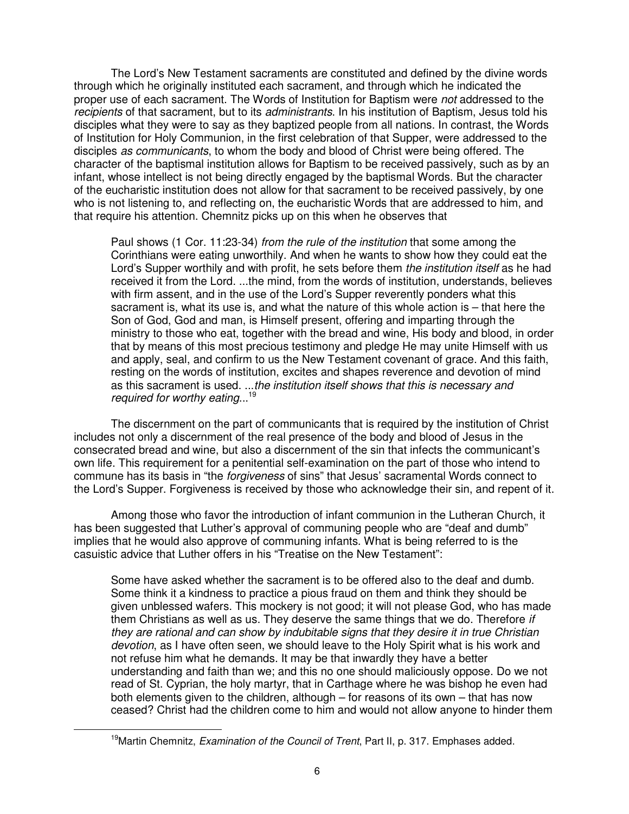The Lord's New Testament sacraments are constituted and defined by the divine words through which he originally instituted each sacrament, and through which he indicated the proper use of each sacrament. The Words of Institution for Baptism were not addressed to the recipients of that sacrament, but to its *administrants*. In his institution of Baptism, Jesus told his disciples what they were to say as they baptized people from all nations. In contrast, the Words of Institution for Holy Communion, in the first celebration of that Supper, were addressed to the disciples as communicants, to whom the body and blood of Christ were being offered. The character of the baptismal institution allows for Baptism to be received passively, such as by an infant, whose intellect is not being directly engaged by the baptismal Words. But the character of the eucharistic institution does not allow for that sacrament to be received passively, by one who is not listening to, and reflecting on, the eucharistic Words that are addressed to him, and that require his attention. Chemnitz picks up on this when he observes that

Paul shows (1 Cor. 11:23-34) from the rule of the institution that some among the Corinthians were eating unworthily. And when he wants to show how they could eat the Lord's Supper worthily and with profit, he sets before them the *institution itself* as he had received it from the Lord. ...the mind, from the words of institution, understands, believes with firm assent, and in the use of the Lord's Supper reverently ponders what this sacrament is, what its use is, and what the nature of this whole action is – that here the Son of God, God and man, is Himself present, offering and imparting through the ministry to those who eat, together with the bread and wine, His body and blood, in order that by means of this most precious testimony and pledge He may unite Himself with us and apply, seal, and confirm to us the New Testament covenant of grace. And this faith, resting on the words of institution, excites and shapes reverence and devotion of mind as this sacrament is used. ...the institution itself shows that this is necessary and required for worthy eating...<sup>19</sup>

 The discernment on the part of communicants that is required by the institution of Christ includes not only a discernment of the real presence of the body and blood of Jesus in the consecrated bread and wine, but also a discernment of the sin that infects the communicant's own life. This requirement for a penitential self-examination on the part of those who intend to commune has its basis in "the forgiveness of sins" that Jesus' sacramental Words connect to the Lord's Supper. Forgiveness is received by those who acknowledge their sin, and repent of it.

Among those who favor the introduction of infant communion in the Lutheran Church, it has been suggested that Luther's approval of communing people who are "deaf and dumb" implies that he would also approve of communing infants. What is being referred to is the casuistic advice that Luther offers in his "Treatise on the New Testament":

Some have asked whether the sacrament is to be offered also to the deaf and dumb. Some think it a kindness to practice a pious fraud on them and think they should be given unblessed wafers. This mockery is not good; it will not please God, who has made them Christians as well as us. They deserve the same things that we do. Therefore if they are rational and can show by indubitable signs that they desire it in true Christian devotion, as I have often seen, we should leave to the Holy Spirit what is his work and not refuse him what he demands. It may be that inwardly they have a better understanding and faith than we; and this no one should maliciously oppose. Do we not read of St. Cyprian, the holy martyr, that in Carthage where he was bishop he even had both elements given to the children, although – for reasons of its own – that has now ceased? Christ had the children come to him and would not allow anyone to hinder them

<sup>&</sup>lt;sup>19</sup>Martin Chemnitz, *Examination of the Council of Trent*, Part II, p. 317. Emphases added.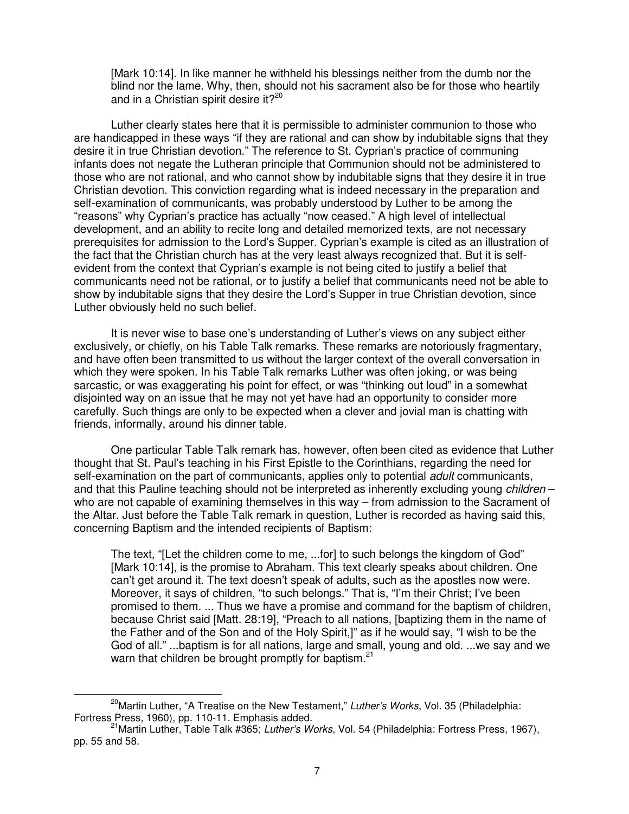[Mark 10:14]. In like manner he withheld his blessings neither from the dumb nor the blind nor the lame. Why, then, should not his sacrament also be for those who heartily and in a Christian spirit desire it?<sup>20</sup>

Luther clearly states here that it is permissible to administer communion to those who are handicapped in these ways "if they are rational and can show by indubitable signs that they desire it in true Christian devotion." The reference to St. Cyprian's practice of communing infants does not negate the Lutheran principle that Communion should not be administered to those who are not rational, and who cannot show by indubitable signs that they desire it in true Christian devotion. This conviction regarding what is indeed necessary in the preparation and self-examination of communicants, was probably understood by Luther to be among the "reasons" why Cyprian's practice has actually "now ceased." A high level of intellectual development, and an ability to recite long and detailed memorized texts, are not necessary prerequisites for admission to the Lord's Supper. Cyprian's example is cited as an illustration of the fact that the Christian church has at the very least always recognized that. But it is selfevident from the context that Cyprian's example is not being cited to justify a belief that communicants need not be rational, or to justify a belief that communicants need not be able to show by indubitable signs that they desire the Lord's Supper in true Christian devotion, since Luther obviously held no such belief.

 It is never wise to base one's understanding of Luther's views on any subject either exclusively, or chiefly, on his Table Talk remarks. These remarks are notoriously fragmentary, and have often been transmitted to us without the larger context of the overall conversation in which they were spoken. In his Table Talk remarks Luther was often joking, or was being sarcastic, or was exaggerating his point for effect, or was "thinking out loud" in a somewhat disjointed way on an issue that he may not yet have had an opportunity to consider more carefully. Such things are only to be expected when a clever and jovial man is chatting with friends, informally, around his dinner table.

 One particular Table Talk remark has, however, often been cited as evidence that Luther thought that St. Paul's teaching in his First Epistle to the Corinthians, regarding the need for self-examination on the part of communicants, applies only to potential *adult* communicants, and that this Pauline teaching should not be interpreted as inherently excluding young *children* – who are not capable of examining themselves in this way – from admission to the Sacrament of the Altar. Just before the Table Talk remark in question, Luther is recorded as having said this, concerning Baptism and the intended recipients of Baptism:

The text, "[Let the children come to me, ...for] to such belongs the kingdom of God" [Mark 10:14], is the promise to Abraham. This text clearly speaks about children. One can't get around it. The text doesn't speak of adults, such as the apostles now were. Moreover, it says of children, "to such belongs." That is, "I'm their Christ; I've been promised to them. ... Thus we have a promise and command for the baptism of children, because Christ said [Matt. 28:19], "Preach to all nations, [baptizing them in the name of the Father and of the Son and of the Holy Spirit,]" as if he would say, "I wish to be the God of all." ...baptism is for all nations, large and small, young and old. ...we say and we warn that children be brought promptly for baptism.<sup>21</sup>

 $20$ Martin Luther, "A Treatise on the New Testament," Luther's Works, Vol. 35 (Philadelphia: Fortress Press, 1960), pp. 110-11. Emphasis added.

<sup>&</sup>lt;sup>21</sup>Martin Luther, Table Talk #365; *Luther's Works*, Vol. 54 (Philadelphia: Fortress Press, 1967), pp. 55 and 58.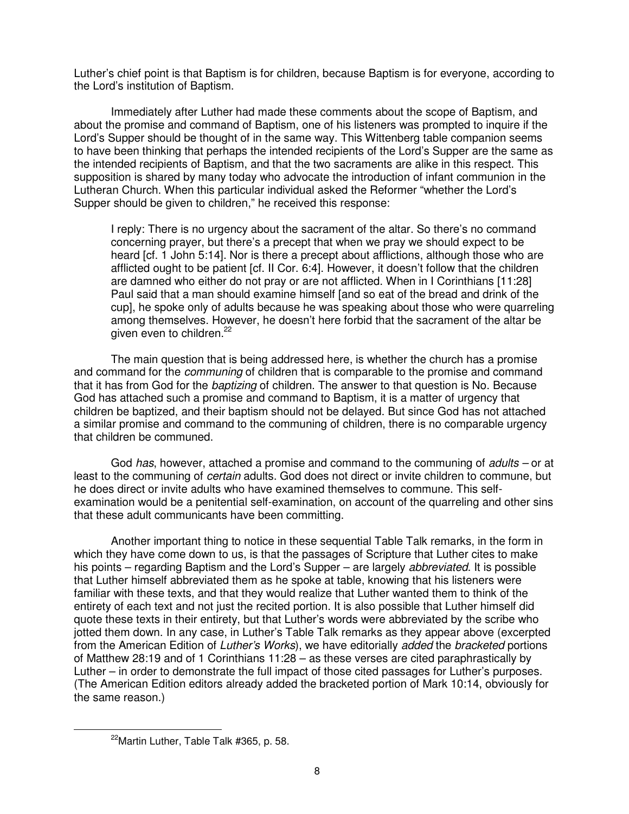Luther's chief point is that Baptism is for children, because Baptism is for everyone, according to the Lord's institution of Baptism.

Immediately after Luther had made these comments about the scope of Baptism, and about the promise and command of Baptism, one of his listeners was prompted to inquire if the Lord's Supper should be thought of in the same way. This Wittenberg table companion seems to have been thinking that perhaps the intended recipients of the Lord's Supper are the same as the intended recipients of Baptism, and that the two sacraments are alike in this respect. This supposition is shared by many today who advocate the introduction of infant communion in the Lutheran Church. When this particular individual asked the Reformer "whether the Lord's Supper should be given to children," he received this response:

I reply: There is no urgency about the sacrament of the altar. So there's no command concerning prayer, but there's a precept that when we pray we should expect to be heard [cf. 1 John 5:14]. Nor is there a precept about afflictions, although those who are afflicted ought to be patient [cf. II Cor. 6:4]. However, it doesn't follow that the children are damned who either do not pray or are not afflicted. When in I Corinthians [11:28] Paul said that a man should examine himself [and so eat of the bread and drink of the cup], he spoke only of adults because he was speaking about those who were quarreling among themselves. However, he doesn't here forbid that the sacrament of the altar be given even to children.<sup>22</sup>

The main question that is being addressed here, is whether the church has a promise and command for the *communing* of children that is comparable to the promise and command that it has from God for the baptizing of children. The answer to that question is No. Because God has attached such a promise and command to Baptism, it is a matter of urgency that children be baptized, and their baptism should not be delayed. But since God has not attached a similar promise and command to the communing of children, there is no comparable urgency that children be communed.

God has, however, attached a promise and command to the communing of *adults –* or at least to the communing of certain adults. God does not direct or invite children to commune, but he does direct or invite adults who have examined themselves to commune. This selfexamination would be a penitential self-examination, on account of the quarreling and other sins that these adult communicants have been committing.

Another important thing to notice in these sequential Table Talk remarks, in the form in which they have come down to us, is that the passages of Scripture that Luther cites to make his points – regarding Baptism and the Lord's Supper – are largely *abbreviated*. It is possible that Luther himself abbreviated them as he spoke at table, knowing that his listeners were familiar with these texts, and that they would realize that Luther wanted them to think of the entirety of each text and not just the recited portion. It is also possible that Luther himself did quote these texts in their entirety, but that Luther's words were abbreviated by the scribe who jotted them down. In any case, in Luther's Table Talk remarks as they appear above (excerpted from the American Edition of Luther's Works), we have editorially added the bracketed portions of Matthew 28:19 and of 1 Corinthians 11:28 – as these verses are cited paraphrastically by Luther – in order to demonstrate the full impact of those cited passages for Luther's purposes. (The American Edition editors already added the bracketed portion of Mark 10:14, obviously for the same reason.)

<sup>&</sup>lt;sup>22</sup>Martin Luther, Table Talk #365, p. 58.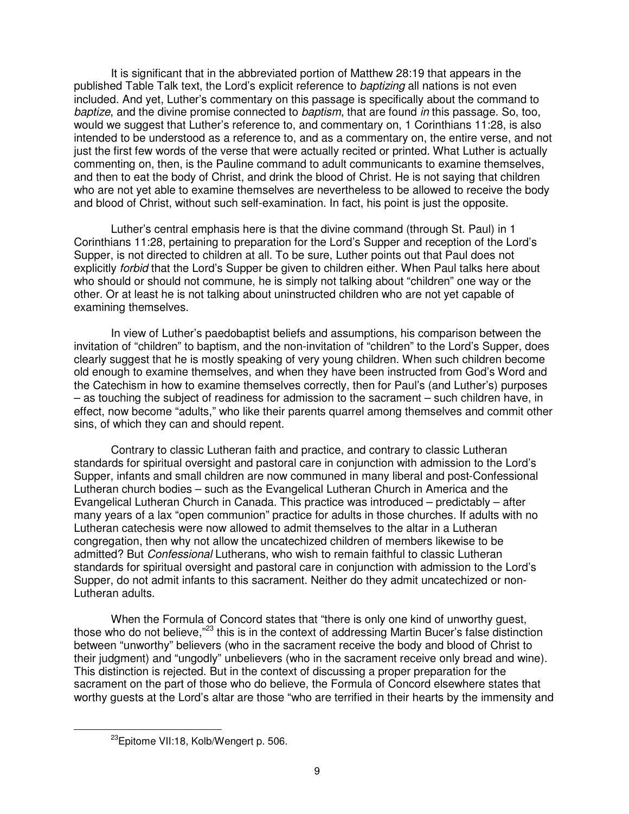It is significant that in the abbreviated portion of Matthew 28:19 that appears in the published Table Talk text, the Lord's explicit reference to *baptizing* all nations is not even included. And yet, Luther's commentary on this passage is specifically about the command to baptize, and the divine promise connected to baptism, that are found in this passage. So, too, would we suggest that Luther's reference to, and commentary on, 1 Corinthians 11:28, is also intended to be understood as a reference to, and as a commentary on, the entire verse, and not just the first few words of the verse that were actually recited or printed. What Luther is actually commenting on, then, is the Pauline command to adult communicants to examine themselves, and then to eat the body of Christ, and drink the blood of Christ. He is not saying that children who are not yet able to examine themselves are nevertheless to be allowed to receive the body and blood of Christ, without such self-examination. In fact, his point is just the opposite.

Luther's central emphasis here is that the divine command (through St. Paul) in 1 Corinthians 11:28, pertaining to preparation for the Lord's Supper and reception of the Lord's Supper, is not directed to children at all. To be sure, Luther points out that Paul does not explicitly *forbid* that the Lord's Supper be given to children either. When Paul talks here about who should or should not commune, he is simply not talking about "children" one way or the other. Or at least he is not talking about uninstructed children who are not yet capable of examining themselves.

In view of Luther's paedobaptist beliefs and assumptions, his comparison between the invitation of "children" to baptism, and the non-invitation of "children" to the Lord's Supper, does clearly suggest that he is mostly speaking of very young children. When such children become old enough to examine themselves, and when they have been instructed from God's Word and the Catechism in how to examine themselves correctly, then for Paul's (and Luther's) purposes – as touching the subject of readiness for admission to the sacrament – such children have, in effect, now become "adults," who like their parents quarrel among themselves and commit other sins, of which they can and should repent.

Contrary to classic Lutheran faith and practice, and contrary to classic Lutheran standards for spiritual oversight and pastoral care in conjunction with admission to the Lord's Supper, infants and small children are now communed in many liberal and post-Confessional Lutheran church bodies – such as the Evangelical Lutheran Church in America and the Evangelical Lutheran Church in Canada. This practice was introduced – predictably – after many years of a lax "open communion" practice for adults in those churches. If adults with no Lutheran catechesis were now allowed to admit themselves to the altar in a Lutheran congregation, then why not allow the uncatechized children of members likewise to be admitted? But Confessional Lutherans, who wish to remain faithful to classic Lutheran standards for spiritual oversight and pastoral care in conjunction with admission to the Lord's Supper, do not admit infants to this sacrament. Neither do they admit uncatechized or non-Lutheran adults.

When the Formula of Concord states that "there is only one kind of unworthy guest, those who do not believe,"<sup>23</sup> this is in the context of addressing Martin Bucer's false distinction between "unworthy" believers (who in the sacrament receive the body and blood of Christ to their judgment) and "ungodly" unbelievers (who in the sacrament receive only bread and wine). This distinction is rejected. But in the context of discussing a proper preparation for the sacrament on the part of those who do believe, the Formula of Concord elsewhere states that worthy guests at the Lord's altar are those "who are terrified in their hearts by the immensity and

<sup>&</sup>lt;sup>23</sup>Epitome VII:18, Kolb/Wengert p. 506.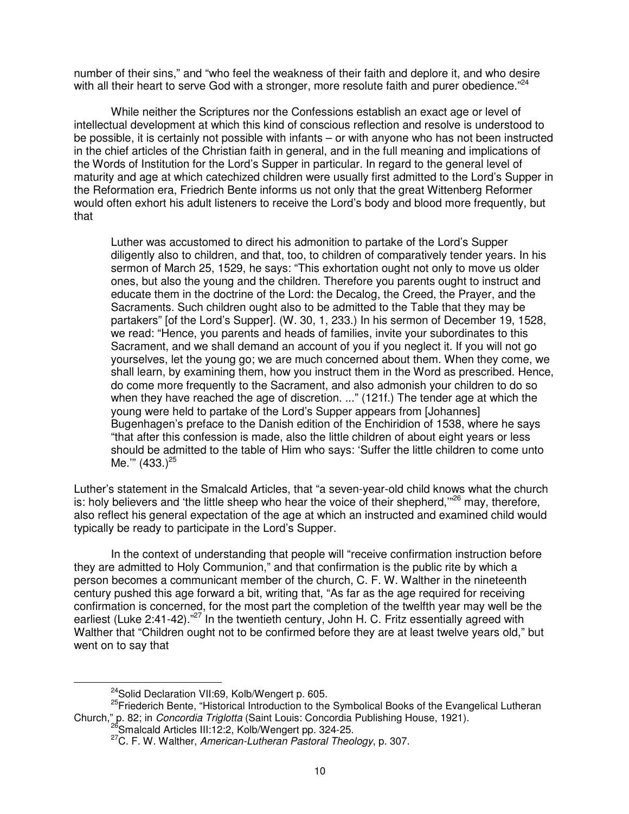number of their sins," and "who feel the weakness of their faith and deplore it, and who desire with all their heart to serve God with a stronger, more resolute faith and purer obedience." $24$ 

While neither the Scriptures nor the Confessions establish an exact age or level of intellectual development at which this kind of conscious reflection and resolve is understood to be possible, it is certainly not possible with infants – or with anyone who has not been instructed in the chief articles of the Christian faith in general, and in the full meaning and implications of the Words of Institution for the Lord's Supper in particular. In regard to the general level of maturity and age at which catechized children were usually first admitted to the Lord's Supper in the Reformation era, Friedrich Bente informs us not only that the great Wittenberg Reformer would often exhort his adult listeners to receive the Lord's body and blood more frequently, but that

Luther was accustomed to direct his admonition to partake of the Lord's Supper diligently also to children, and that, too, to children of comparatively tender years. In his sermon of March 25, 1529, he says: "This exhortation ought not only to move us older ones, but also the young and the children. Therefore you parents ought to instruct and educate them in the doctrine of the Lord: the Decalog, the Creed, the Prayer, and the Sacraments. Such children ought also to be admitted to the Table that they may be partakers" [of the Lord's Supper]. (W. 30, 1, 233.) In his sermon of December 19, 1528, we read: "Hence, you parents and heads of families, invite your subordinates to this Sacrament, and we shall demand an account of you if you neglect it. If you will not go yourselves, let the young go; we are much concerned about them. When they come, we shall learn, by examining them, how you instruct them in the Word as prescribed. Hence, do come more frequently to the Sacrament, and also admonish your children to do so when they have reached the age of discretion. ..." (121f.) The tender age at which the young were held to partake of the Lord's Supper appears from [Johannes] Bugenhagen's preface to the Danish edition of the Enchiridion of 1538, where he says "that after this confession is made, also the little children of about eight years or less should be admitted to the table of Him who says: 'Suffer the little children to come unto Me.'"  $(433.)^{25}$ 

Luther's statement in the Smalcald Articles, that "a seven-year-old child knows what the church is: holy believers and 'the little sheep who hear the voice of their shepherd,"<sup>26</sup> may, therefore, also reflect his general expectation of the age at which an instructed and examined child would typically be ready to participate in the Lord's Supper.

In the context of understanding that people will "receive confirmation instruction before they are admitted to Holy Communion," and that confirmation is the public rite by which a person becomes a communicant member of the church, C. F. W. Walther in the nineteenth century pushed this age forward a bit, writing that, "As far as the age required for receiving confirmation is concerned, for the most part the completion of the twelfth year may well be the earliest (Luke 2:41-42)."<sup>27</sup> In the twentieth century, John H. C. Fritz essentially agreed with Walther that "Children ought not to be confirmed before they are at least twelve years old," but went on to say that

<sup>&</sup>lt;sup>24</sup>Solid Declaration VII:69, Kolb/Wengert p. 605.

<sup>&</sup>lt;sup>25</sup>Friederich Bente, "Historical Introduction to the Symbolical Books of the Evangelical Lutheran Church," p. 82; in Concordia Triglotta (Saint Louis: Concordia Publishing House, 1921).

<sup>&</sup>lt;sup>3</sup>Smalcald Articles III:12:2, Kolb/Wengert pp. 324-25.

 $27$ C. F. W. Walther, American-Lutheran Pastoral Theology, p. 307.